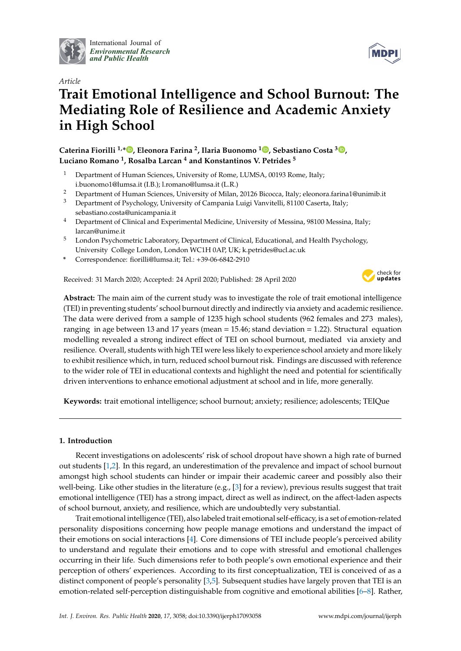

International Journal of *[Environmental Research](http://www.mdpi.com/journal/ijerph) and Public Health*



# **Trait Emotional Intelligence and School Burnout: The Mediating Role of Resilience and Academic Anxiety in High School**

**Caterina Fiorilli 1,\* [,](https://orcid.org/0000-0001-7284-7313) Eleonora Farina <sup>2</sup> , Ilaria Buonomo <sup>1</sup> [,](https://orcid.org/0000-0001-8212-6798) Sebastiano Costa <sup>3</sup> [,](https://orcid.org/0000-0002-2392-6039) Luciano Romano <sup>1</sup> , Rosalba Larcan <sup>4</sup> and Konstantinos V. Petrides <sup>5</sup>**

- <sup>1</sup> Department of Human Sciences, University of Rome, LUMSA, 00193 Rome, Italy; i.buonomo1@lumsa.it (I.B.); l.romano@lumsa.it (L.R.)
- <sup>2</sup> Department of Human Sciences, University of Milan, 20126 Bicocca, Italy; eleonora.farina1@unimib.it
- <sup>3</sup> Department of Psychology, University of Campania Luigi Vanvitelli, 81100 Caserta, Italy; sebastiano.costa@unicampania.it
- <sup>4</sup> Department of Clinical and Experimental Medicine, University of Messina, 98100 Messina, Italy; larcan@unime.it
- <sup>5</sup> London Psychometric Laboratory, Department of Clinical, Educational, and Health Psychology, University College London, London WC1H 0AP, UK; k.petrides@ucl.ac.uk
- **\*** Correspondence: fiorilli@lumsa.it; Tel.: +39-06-6842-2910

Received: 31 March 2020; Accepted: 24 April 2020; Published: 28 April 2020



**MDPI** 

**Abstract:** The main aim of the current study was to investigate the role of trait emotional intelligence (TEI) in preventing students' school burnout directly and indirectly via anxiety and academic resilience. The data were derived from a sample of 1235 high school students (962 females and 273 males), ranging in age between 13 and 17 years (mean = 15.46; stand deviation = 1.22). Structural equation modelling revealed a strong indirect effect of TEI on school burnout, mediated via anxiety and resilience. Overall, students with high TEI were less likely to experience school anxiety and more likely to exhibit resilience which, in turn, reduced school burnout risk. Findings are discussed with reference to the wider role of TEI in educational contexts and highlight the need and potential for scientifically driven interventions to enhance emotional adjustment at school and in life, more generally.

**Keywords:** trait emotional intelligence; school burnout; anxiety; resilience; adolescents; TEIQue

## **1. Introduction**

Recent investigations on adolescents' risk of school dropout have shown a high rate of burned out students [\[1,](#page-5-0)[2\]](#page-5-1). In this regard, an underestimation of the prevalence and impact of school burnout amongst high school students can hinder or impair their academic career and possibly also their well-being. Like other studies in the literature (e.g., [\[3\]](#page-5-2) for a review), previous results suggest that trait emotional intelligence (TEI) has a strong impact, direct as well as indirect, on the affect-laden aspects of school burnout, anxiety, and resilience, which are undoubtedly very substantial.

Trait emotional intelligence (TEI), also labeled trait emotional self-efficacy, is a set of emotion-related personality dispositions concerning how people manage emotions and understand the impact of their emotions on social interactions [\[4\]](#page-5-3). Core dimensions of TEI include people's perceived ability to understand and regulate their emotions and to cope with stressful and emotional challenges occurring in their life. Such dimensions refer to both people's own emotional experience and their perception of others' experiences. According to its first conceptualization, TEI is conceived of as a distinct component of people's personality [\[3](#page-5-2)[,5\]](#page-5-4). Subsequent studies have largely proven that TEI is an emotion-related self-perception distinguishable from cognitive and emotional abilities [\[6](#page-5-5)[–8\]](#page-5-6). Rather,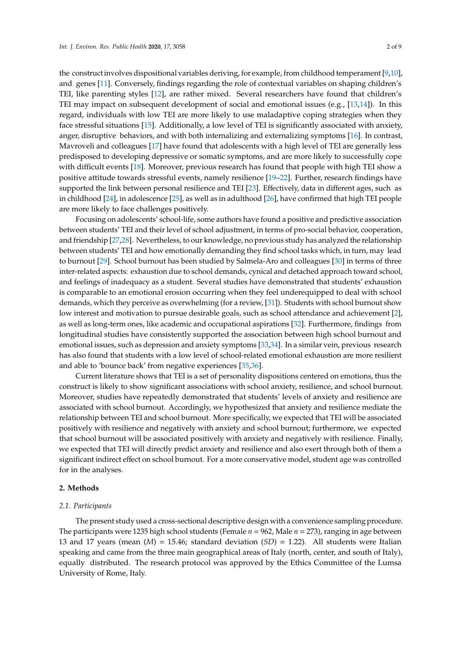the construct involves dispositional variables deriving, for example, from childhood temperament [\[9](#page-5-7)[,10\]](#page-5-8), and genes [\[11\]](#page-6-0). Conversely, findings regarding the role of contextual variables on shaping children's TEI, like parenting styles [\[12\]](#page-6-1), are rather mixed. Several researchers have found that children's TEI may impact on subsequent development of social and emotional issues (e.g., [\[13,](#page-6-2)[14\]](#page-6-3)). In this regard, individuals with low TEI are more likely to use maladaptive coping strategies when they face stressful situations [\[15\]](#page-6-4). Additionally, a low level of TEI is significantly associated with anxiety, anger, disruptive behaviors, and with both internalizing and externalizing symptoms [\[16\]](#page-6-5). In contrast, Mavroveli and colleagues [\[17\]](#page-6-6) have found that adolescents with a high level of TEI are generally less predisposed to developing depressive or somatic symptoms, and are more likely to successfully cope with difficult events [\[18\]](#page-6-7). Moreover, previous research has found that people with high TEI show a positive attitude towards stressful events, namely resilience [\[19–](#page-6-8)[22\]](#page-6-9). Further, research findings have supported the link between personal resilience and TEI [\[23\]](#page-6-10). Effectively, data in different ages, such as in childhood [\[24\]](#page-6-11), in adolescence [\[25\]](#page-6-12), as well as in adulthood [\[26\]](#page-6-13), have confirmed that high TEI people are more likely to face challenges positively.

Focusing on adolescents' school-life, some authors have found a positive and predictive association between students' TEI and their level of school adjustment, in terms of pro-social behavior, cooperation, and friendship [\[27,](#page-6-14)[28\]](#page-6-15). Nevertheless, to our knowledge, no previous study has analyzed the relationship between students' TEI and how emotionally demanding they find school tasks which, in turn, may lead to burnout [\[29\]](#page-6-16). School burnout has been studied by Salmela-Aro and colleagues [\[30\]](#page-6-17) in terms of three inter-related aspects: exhaustion due to school demands, cynical and detached approach toward school, and feelings of inadequacy as a student. Several studies have demonstrated that students' exhaustion is comparable to an emotional erosion occurring when they feel underequipped to deal with school demands, which they perceive as overwhelming (for a review, [\[31\]](#page-6-18)). Students with school burnout show low interest and motivation to pursue desirable goals, such as school attendance and achievement [\[2\]](#page-5-1), as well as long-term ones, like academic and occupational aspirations [\[32\]](#page-6-19). Furthermore, findings from longitudinal studies have consistently supported the association between high school burnout and emotional issues, such as depression and anxiety symptoms [\[33](#page-6-20)[,34\]](#page-7-0). In a similar vein, previous research has also found that students with a low level of school-related emotional exhaustion are more resilient and able to 'bounce back' from negative experiences [\[35](#page-7-1)[,36\]](#page-7-2).

Current literature shows that TEI is a set of personality dispositions centered on emotions, thus the construct is likely to show significant associations with school anxiety, resilience, and school burnout. Moreover, studies have repeatedly demonstrated that students' levels of anxiety and resilience are associated with school burnout. Accordingly, we hypothesized that anxiety and resilience mediate the relationship between TEI and school burnout. More specifically, we expected that TEI will be associated positively with resilience and negatively with anxiety and school burnout; furthermore, we expected that school burnout will be associated positively with anxiety and negatively with resilience. Finally, we expected that TEI will directly predict anxiety and resilience and also exert through both of them a significant indirect effect on school burnout. For a more conservative model, student age was controlled for in the analyses.

## **2. Methods**

#### *2.1. Participants*

The present study used a cross-sectional descriptive design with a convenience sampling procedure. The participants were 1235 high school students (Female *n* = 962, Male *n* = 273), ranging in age between 13 and 17 years (mean  $(M) = 15.46$ ; standard deviation  $(SD) = 1.22$ ). All students were Italian speaking and came from the three main geographical areas of Italy (north, center, and south of Italy), equally distributed. The research protocol was approved by the Ethics Committee of the Lumsa University of Rome, Italy.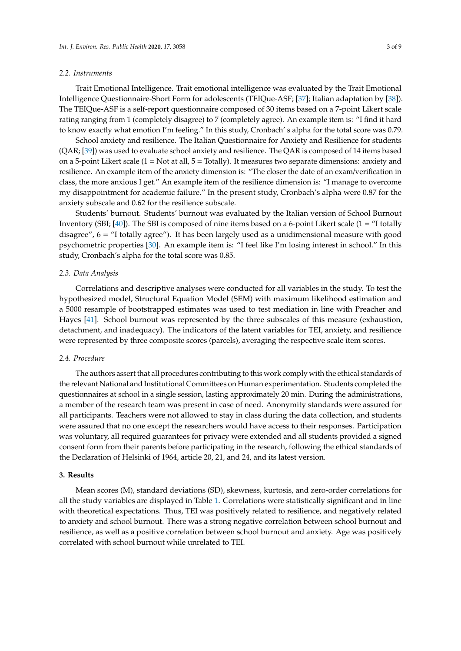### *2.2. Instruments*

Trait Emotional Intelligence. Trait emotional intelligence was evaluated by the Trait Emotional Intelligence Questionnaire-Short Form for adolescents (TEIQue-ASF; [\[37\]](#page-7-3); Italian adaptation by [\[38\]](#page-7-4)). The TEIQue-ASF is a self-report questionnaire composed of 30 items based on a 7-point Likert scale rating ranging from 1 (completely disagree) to 7 (completely agree). An example item is: "I find it hard to know exactly what emotion I'm feeling." In this study, Cronbach' s alpha for the total score was 0.79.

School anxiety and resilience. The Italian Questionnaire for Anxiety and Resilience for students (QAR; [\[39\]](#page-7-5)) was used to evaluate school anxiety and resilience. The QAR is composed of 14 items based on a 5-point Likert scale  $(1 = Not at all, 5 = Totally)$ . It measures two separate dimensions: anxiety and resilience. An example item of the anxiety dimension is: "The closer the date of an exam/verification in class, the more anxious I get." An example item of the resilience dimension is: "I manage to overcome my disappointment for academic failure." In the present study, Cronbach's alpha were 0.87 for the anxiety subscale and 0.62 for the resilience subscale.

Students' burnout. Students' burnout was evaluated by the Italian version of School Burnout Inventory (SBI; [\[40\]](#page-7-6)). The SBI is composed of nine items based on a 6-point Likert scale (1 = "I totally disagree", 6 = "I totally agree"). It has been largely used as a unidimensional measure with good psychometric properties [\[30\]](#page-6-17). An example item is: "I feel like I'm losing interest in school." In this study, Cronbach's alpha for the total score was 0.85.

## *2.3. Data Analysis*

Correlations and descriptive analyses were conducted for all variables in the study. To test the hypothesized model, Structural Equation Model (SEM) with maximum likelihood estimation and a 5000 resample of bootstrapped estimates was used to test mediation in line with Preacher and Hayes [\[41\]](#page-7-7). School burnout was represented by the three subscales of this measure (exhaustion, detachment, and inadequacy). The indicators of the latent variables for TEI, anxiety, and resilience were represented by three composite scores (parcels), averaging the respective scale item scores.

## *2.4. Procedure*

The authors assert that all procedures contributing to this work comply with the ethical standards of the relevant National and Institutional Committees on Human experimentation. Students completed the questionnaires at school in a single session, lasting approximately 20 min. During the administrations, a member of the research team was present in case of need. Anonymity standards were assured for all participants. Teachers were not allowed to stay in class during the data collection, and students were assured that no one except the researchers would have access to their responses. Participation was voluntary, all required guarantees for privacy were extended and all students provided a signed consent form from their parents before participating in the research, following the ethical standards of the Declaration of Helsinki of 1964, article 20, 21, and 24, and its latest version.

## **3. Results**

Mean scores (M), standard deviations (SD), skewness, kurtosis, and zero-order correlations for all the study variables are displayed in Table [1.](#page-3-0) Correlations were statistically significant and in line with theoretical expectations. Thus, TEI was positively related to resilience, and negatively related to anxiety and school burnout. There was a strong negative correlation between school burnout and resilience, as well as a positive correlation between school burnout and anxiety. Age was positively correlated with school burnout while unrelated to TEI.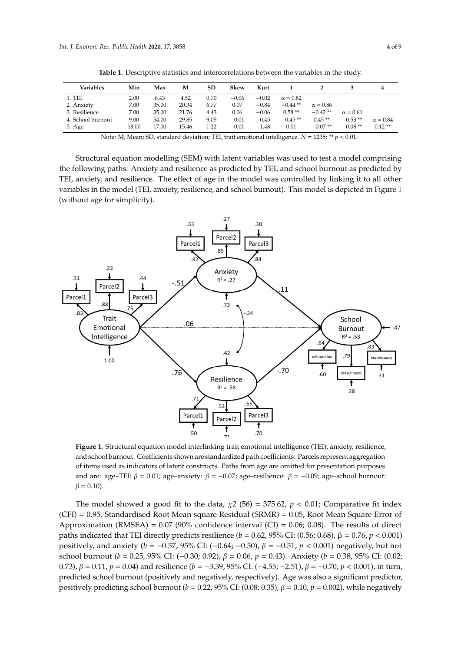<span id="page-3-0"></span>

| <b>Variables</b>  | Min   | Max   | м     | SD   | Skew    | Kurt    |                 |                 |                 | 4               |
|-------------------|-------|-------|-------|------|---------|---------|-----------------|-----------------|-----------------|-----------------|
| 1. TEI            | 2.00  | 6.43  | 4.52  | 0.70 | $-0.06$ | $-0.02$ | $\alpha = 0.82$ |                 |                 |                 |
| 2. Anxiety        | 7.00  | 35.00 | 20.34 | 6.77 | 0.07    | $-0.84$ | $-0.44**$       | $\alpha = 0.86$ |                 |                 |
| 3. Resilience     | 7.00  | 35.00 | 21.76 | 4.43 | 0.06    | $-0.06$ | $0.58**$        | $-0.42**$       | $\alpha = 0.61$ |                 |
| 4. School burnout | 9.00  | 54.00 | 29.85 | 9.05 | $-0.01$ | $-0.45$ | $-0.45**$       | $0.45**$        | $-0.53**$       | $\alpha = 0.84$ |
| 5. Age            | 13.00 | 17.00 | 15.46 | 1.22 | $-0.01$ | $-1.48$ | 0.01            | $-0.07**$       | $-0.08**$       | $0.12**$        |

**Table 1.** Descriptive statistics and intercorrelations between the variables in the study.

Note: M, Mean; SD, standard deviation; TEI, trait emotional intelligence.  $N = 1235$ ; \*\*  $p < 0.01$ .

Structural equation modelling (SEM) with latent variables was used to test a model comprising the following paths: Anxiety and resilience as predicted by TEI, and school burnout as predicted by Structural equation modelling (SEM) with latent variables was used to test a model comprising TEI, anxiety, and resilience. The effect of age in the model was controlled by linking it to all other TEI, anxiety, and resilience. The effect of age in the model was controlled by initially it to all other variables in the model (TEI, anxiety, resilience, and school burnout). This model is depicted in Figure [1](#page-3-1) (without age for simplicity). (without age for simplicity). variables in the model (TEI, anxiety, resilience, and school burnout). This model is depicted in Figure 1

<span id="page-3-1"></span>

and school burnout. Coefficients shown are standardized path coefficients. Parcels represent aggregation of items used as indicators of latent constructs. Paths from age are omitted for presentation purposes and are: age–TEI:  $\beta = 0.01$ ; age–anxiety:  $\beta = -0.07$ ; age–resilience:  $\beta = -0.09$ ; age–school burnout: presentation purposes and are: age–TEI: *β* = 0.01; age–anxiety: *β* = −0.07; age–resilience: *β* = −0.09; age– Figure 1. Structural equation model interlinking trait emotional intelligence (TEI), anxiety, resilience,  $\beta = 0.10$ ).

The model showed a good fit to the data,  $\chi^2$  (56) = 375.62,  $p < 0.01$ ; Comparative fit index (CFI) = 0.95, Standardised Root Mean square Residual (SRMR) = 0.05, Root Mean Square Error of Approximation (RMSEA) = 0.07 (90% confidence interval (CI) = 0.06; 0.08). The results of direct  $\alpha$ paths indicated that TEI directly predicts resilience (*b* = 0.62, 95% CI: (0.56; 0.68),  $\beta$  = 0.76, *p* < 0.001) positively, and anxiety ( $b = -0.57$ , 95% CI: (-0.64; -0.50),  $\beta = -0.51$ ,  $p < 0.001$ ) negatively, but not positively,  $p = 0.55$ ,  $p = 0.56$ ;  $p = 0.56$ ;  $p = 0.56$ ;  $p = 0.56$ ;  $p = 0.56$ ;  $p = 0.56$ ;  $p = 0.56$ ;  $p = 0.56$ ;  $p = 0.56$ ;  $p = 0.56$ ;  $p = 0.56$ ;  $p = 0.56$ ;  $p = 0.56$ ;  $p = 0.56$ ;  $p = 0.56$ ;  $p = 0.56$ ;  $p = 0.56$ ;  $p = 0.56$ ; 0.73),  $\beta = 0.11$ ,  $p = 0.04$ ) and resilience ( $b = -3.39$ ,  $95\%$  CI:  $(-4.55; -2.51)$ ,  $\beta = -0.70$ ,  $p < 0.001$ ), in turn, predicted school burnout (positively and negatively, respectively). Age was also a significant predictor,<br>1. The contract of the contract of the contract of the contract of the contract of the contract of the contract positively predicting school burnout (*b* = 0.22, 95% CI: (0.08; 0.35),  $\beta$  = 0.10,  $p$  = 0.002), while negatively school burnout (*b* = 0.25, 95% CI: (−0.30; 0.92), β = 0.06, *p* = 0.43). Anxiety (*b* = 0.38, 95% CI: (0.02;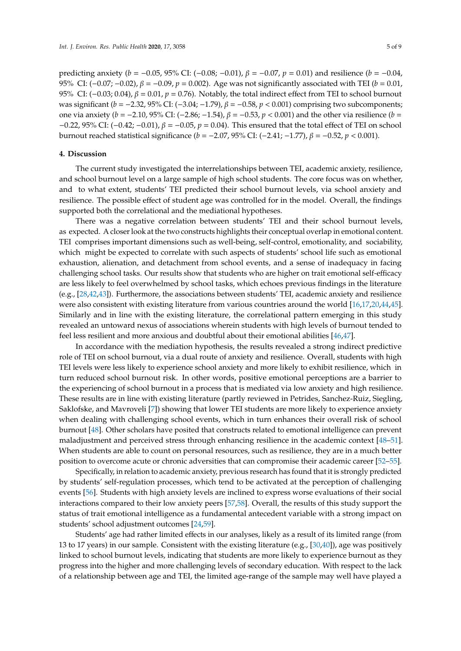predicting anxiety (*b* = −0.05, 95% CI: (−0.08; −0.01), β = −0.07, *p* = 0.01) and resilience (*b* = −0.04, 95% CI:  $(-0.07, -0.02)$ ,  $β = -0.09$ ,  $p = 0.002$ ). Age was not significantly associated with TEI (*b* = 0.01, 95% CI:  $(-0.03; 0.04)$ ,  $β = 0.01$ ,  $p = 0.76$ ). Notably, the total indirect effect from TEI to school burnout was significant (*b* = −2.32, 95% CI: (−3.04; −1.79),  $β = -0.58$ ,  $p < 0.001$ ) comprising two subcomponents; one via anxiety (*b* = −2.10, 95% CI: (−2.86; −1.54), β = −0.53, *p* < 0.001) and the other via resilience (*b* = −0.22, 95% CI: (−0.42; −0.01), β = −0.05, *p* = 0.04). This ensured that the total effect of TEI on school burnout reached statistical significance (*b* = −2.07, 95% CI: (−2.41; −1.77), β = −0.52, *p* < 0.001).

## **4. Discussion**

The current study investigated the interrelationships between TEI, academic anxiety, resilience, and school burnout level on a large sample of high school students. The core focus was on whether, and to what extent, students' TEI predicted their school burnout levels, via school anxiety and resilience. The possible effect of student age was controlled for in the model. Overall, the findings supported both the correlational and the mediational hypotheses.

There was a negative correlation between students' TEI and their school burnout levels, as expected. A closer look at the two constructs highlights their conceptual overlap in emotional content. TEI comprises important dimensions such as well-being, self-control, emotionality, and sociability, which might be expected to correlate with such aspects of students' school life such as emotional exhaustion, alienation, and detachment from school events, and a sense of inadequacy in facing challenging school tasks. Our results show that students who are higher on trait emotional self-efficacy are less likely to feel overwhelmed by school tasks, which echoes previous findings in the literature (e.g., [\[28,](#page-6-15)[42,](#page-7-8)[43\]](#page-7-9)). Furthermore, the associations between students' TEI, academic anxiety and resilience were also consistent with existing literature from various countries around the world [\[16](#page-6-5)[,17](#page-6-6)[,20,](#page-6-21)[44](#page-7-10)[,45\]](#page-7-11). Similarly and in line with the existing literature, the correlational pattern emerging in this study revealed an untoward nexus of associations wherein students with high levels of burnout tended to feel less resilient and more anxious and doubtful about their emotional abilities [\[46](#page-7-12)[,47\]](#page-7-13).

In accordance with the mediation hypothesis, the results revealed a strong indirect predictive role of TEI on school burnout, via a dual route of anxiety and resilience. Overall, students with high TEI levels were less likely to experience school anxiety and more likely to exhibit resilience, which in turn reduced school burnout risk. In other words, positive emotional perceptions are a barrier to the experiencing of school burnout in a process that is mediated via low anxiety and high resilience. These results are in line with existing literature (partly reviewed in Petrides, Sanchez-Ruiz, Siegling, Saklofske, and Mavroveli [\[7\]](#page-5-9)) showing that lower TEI students are more likely to experience anxiety when dealing with challenging school events, which in turn enhances their overall risk of school burnout [\[48\]](#page-7-14). Other scholars have posited that constructs related to emotional intelligence can prevent maladjustment and perceived stress through enhancing resilience in the academic context [\[48–](#page-7-14)[51\]](#page-7-15). When students are able to count on personal resources, such as resilience, they are in a much better position to overcome acute or chronic adversities that can compromise their academic career [\[52](#page-7-16)[–55\]](#page-7-17).

Specifically, in relation to academic anxiety, previous research has found that it is strongly predicted by students' self-regulation processes, which tend to be activated at the perception of challenging events [\[56\]](#page-8-0). Students with high anxiety levels are inclined to express worse evaluations of their social interactions compared to their low anxiety peers [\[57](#page-8-1)[,58\]](#page-8-2). Overall, the results of this study support the status of trait emotional intelligence as a fundamental antecedent variable with a strong impact on students' school adjustment outcomes [\[24,](#page-6-11)[59\]](#page-8-3).

Students' age had rather limited effects in our analyses, likely as a result of its limited range (from 13 to 17 years) in our sample. Consistent with the existing literature (e.g., [\[30,](#page-6-17)[40\]](#page-7-6)), age was positively linked to school burnout levels, indicating that students are more likely to experience burnout as they progress into the higher and more challenging levels of secondary education. With respect to the lack of a relationship between age and TEI, the limited age-range of the sample may well have played a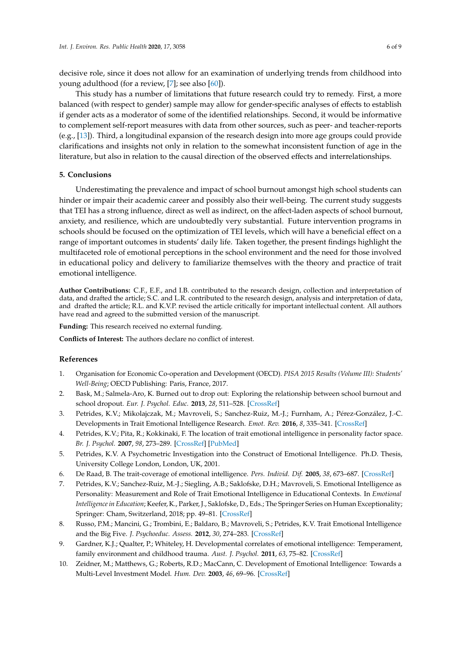decisive role, since it does not allow for an examination of underlying trends from childhood into young adulthood (for a review, [\[7\]](#page-5-9); see also [\[60\]](#page-8-4)).

This study has a number of limitations that future research could try to remedy. First, a more balanced (with respect to gender) sample may allow for gender-specific analyses of effects to establish if gender acts as a moderator of some of the identified relationships. Second, it would be informative to complement self-report measures with data from other sources, such as peer- and teacher-reports (e.g., [\[13\]](#page-6-2)). Third, a longitudinal expansion of the research design into more age groups could provide clarifications and insights not only in relation to the somewhat inconsistent function of age in the literature, but also in relation to the causal direction of the observed effects and interrelationships.

## **5. Conclusions**

Underestimating the prevalence and impact of school burnout amongst high school students can hinder or impair their academic career and possibly also their well-being. The current study suggests that TEI has a strong influence, direct as well as indirect, on the affect-laden aspects of school burnout, anxiety, and resilience, which are undoubtedly very substantial. Future intervention programs in schools should be focused on the optimization of TEI levels, which will have a beneficial effect on a range of important outcomes in students' daily life. Taken together, the present findings highlight the multifaceted role of emotional perceptions in the school environment and the need for those involved in educational policy and delivery to familiarize themselves with the theory and practice of trait emotional intelligence.

**Author Contributions:** C.F., E.F., and I.B. contributed to the research design, collection and interpretation of data, and drafted the article; S.C. and L.R. contributed to the research design, analysis and interpretation of data, and drafted the article; R.L. and K.V.P. revised the article critically for important intellectual content. All authors have read and agreed to the submitted version of the manuscript.

**Funding:** This research received no external funding.

**Conflicts of Interest:** The authors declare no conflict of interest.

## **References**

- <span id="page-5-0"></span>1. Organisation for Economic Co-operation and Development (OECD). *PISA 2015 Results (Volume III): Students' Well-Being*; OECD Publishing: Paris, France, 2017.
- <span id="page-5-1"></span>2. Bask, M.; Salmela-Aro, K. Burned out to drop out: Exploring the relationship between school burnout and school dropout. *Eur. J. Psychol. Educ.* **2013**, *28*, 511–528. [\[CrossRef\]](http://dx.doi.org/10.1007/s10212-012-0126-5)
- <span id="page-5-2"></span>3. Petrides, K.V.; Mikolajczak, M.; Mavroveli, S.; Sanchez-Ruiz, M.-J.; Furnham, A.; Pérez-González, J.-C. Developments in Trait Emotional Intelligence Research. *Emot. Rev.* **2016**, *8*, 335–341. [\[CrossRef\]](http://dx.doi.org/10.1177/1754073916650493)
- <span id="page-5-3"></span>4. Petrides, K.V.; Pita, R.; Kokkinaki, F. The location of trait emotional intelligence in personality factor space. *Br. J. Psychol.* **2007**, *98*, 273–289. [\[CrossRef\]](http://dx.doi.org/10.1348/000712606X120618) [\[PubMed\]](http://www.ncbi.nlm.nih.gov/pubmed/17456273)
- <span id="page-5-4"></span>5. Petrides, K.V. A Psychometric Investigation into the Construct of Emotional Intelligence. Ph.D. Thesis, University College London, London, UK, 2001.
- <span id="page-5-5"></span>6. De Raad, B. The trait-coverage of emotional intelligence. *Pers. Individ. Dif.* **2005**, *38*, 673–687. [\[CrossRef\]](http://dx.doi.org/10.1016/j.paid.2004.05.022)
- <span id="page-5-9"></span>7. Petrides, K.V.; Sanchez-Ruiz, M.-J.; Siegling, A.B.; Saklofske, D.H.; Mavroveli, S. Emotional Intelligence as Personality: Measurement and Role of Trait Emotional Intelligence in Educational Contexts. In *Emotional Intelligence in Education*; Keefer, K., Parker, J., Saklofske, D., Eds.; The Springer Series on Human Exceptionality; Springer: Cham, Switzerland, 2018; pp. 49–81. [\[CrossRef\]](http://dx.doi.org/10.1007/978-3-319-90633-1_3)
- <span id="page-5-6"></span>8. Russo, P.M.; Mancini, G.; Trombini, E.; Baldaro, B.; Mavroveli, S.; Petrides, K.V. Trait Emotional Intelligence and the Big Five. *J. Psychoeduc. Assess.* **2012**, *30*, 274–283. [\[CrossRef\]](http://dx.doi.org/10.1177/0734282911426412)
- <span id="page-5-7"></span>9. Gardner, K.J.; Qualter, P.; Whiteley, H. Developmental correlates of emotional intelligence: Temperament, family environment and childhood trauma. *Aust. J. Psychol.* **2011**, *63*, 75–82. [\[CrossRef\]](http://dx.doi.org/10.1111/j.1742-9536.2011.00010.x)
- <span id="page-5-8"></span>10. Zeidner, M.; Matthews, G.; Roberts, R.D.; MacCann, C. Development of Emotional Intelligence: Towards a Multi-Level Investment Model. *Hum. Dev.* **2003**, *46*, 69–96. [\[CrossRef\]](http://dx.doi.org/10.1159/000068580)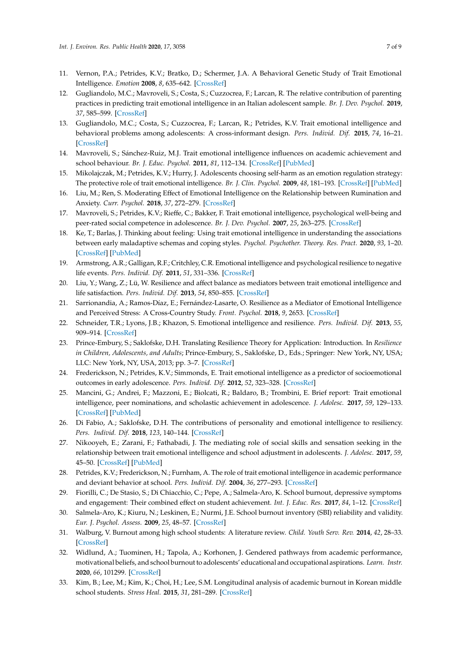- <span id="page-6-0"></span>11. Vernon, P.A.; Petrides, K.V.; Bratko, D.; Schermer, J.A. A Behavioral Genetic Study of Trait Emotional Intelligence. *Emotion* **2008**, *8*, 635–642. [\[CrossRef\]](http://dx.doi.org/10.1037/a0013439)
- <span id="page-6-1"></span>12. Gugliandolo, M.C.; Mavroveli, S.; Costa, S.; Cuzzocrea, F.; Larcan, R. The relative contribution of parenting practices in predicting trait emotional intelligence in an Italian adolescent sample. *Br. J. Dev. Psychol.* **2019**, *37*, 585–599. [\[CrossRef\]](http://dx.doi.org/10.1111/bjdp.12299)
- <span id="page-6-2"></span>13. Gugliandolo, M.C.; Costa, S.; Cuzzocrea, F.; Larcan, R.; Petrides, K.V. Trait emotional intelligence and behavioral problems among adolescents: A cross-informant design. *Pers. Individ. Dif.* **2015**, *74*, 16–21. [\[CrossRef\]](http://dx.doi.org/10.1016/j.paid.2014.09.032)
- <span id="page-6-3"></span>14. Mavroveli, S.; Sánchez-Ruiz, M.J. Trait emotional intelligence influences on academic achievement and school behaviour. *Br. J. Educ. Psychol.* **2011**, *81*, 112–134. [\[CrossRef\]](http://dx.doi.org/10.1348/2044-8279.002009) [\[PubMed\]](http://www.ncbi.nlm.nih.gov/pubmed/21199490)
- <span id="page-6-4"></span>15. Mikolajczak, M.; Petrides, K.V.; Hurry, J. Adolescents choosing self-harm as an emotion regulation strategy: The protective role of trait emotional intelligence. *Br. J. Clin. Psychol.* **2009**, *48*, 181–193. [\[CrossRef\]](http://dx.doi.org/10.1348/014466508X386027) [\[PubMed\]](http://www.ncbi.nlm.nih.gov/pubmed/19054434)
- <span id="page-6-5"></span>16. Liu, M.; Ren, S. Moderating Effect of Emotional Intelligence on the Relationship between Rumination and Anxiety. *Curr. Psychol.* **2018**, *37*, 272–279. [\[CrossRef\]](http://dx.doi.org/10.1007/s12144-016-9510-7)
- <span id="page-6-6"></span>17. Mavroveli, S.; Petrides, K.V.; Rieffe, C.; Bakker, F. Trait emotional intelligence, psychological well-being and peer-rated social competence in adolescence. *Br. J. Dev. Psychol.* **2007**, *25*, 263–275. [\[CrossRef\]](http://dx.doi.org/10.1348/026151006X118577)
- <span id="page-6-7"></span>18. Ke, T.; Barlas, J. Thinking about feeling: Using trait emotional intelligence in understanding the associations between early maladaptive schemas and coping styles. *Psychol. Psychother. Theory. Res. Pract.* **2020**, *93*, 1–20. [\[CrossRef\]](http://dx.doi.org/10.1111/papt.12202) [\[PubMed\]](http://www.ncbi.nlm.nih.gov/pubmed/30369013)
- <span id="page-6-8"></span>19. Armstrong, A.R.; Galligan, R.F.; Critchley, C.R. Emotional intelligence and psychological resilience to negative life events. *Pers. Individ. Dif.* **2011**, *51*, 331–336. [\[CrossRef\]](http://dx.doi.org/10.1016/j.paid.2011.03.025)
- <span id="page-6-21"></span>20. Liu, Y.; Wang, Z.; Lü, W. Resilience and affect balance as mediators between trait emotional intelligence and life satisfaction. *Pers. Individ. Dif.* **2013**, *54*, 850–855. [\[CrossRef\]](http://dx.doi.org/10.1016/j.paid.2012.12.010)
- 21. Sarrionandia, A.; Ramos-Díaz, E.; Fernández-Lasarte, O. Resilience as a Mediator of Emotional Intelligence and Perceived Stress: A Cross-Country Study. *Front. Psychol.* **2018**, *9*, 2653. [\[CrossRef\]](http://dx.doi.org/10.3389/fpsyg.2018.02653)
- <span id="page-6-9"></span>22. Schneider, T.R.; Lyons, J.B.; Khazon, S. Emotional intelligence and resilience. *Pers. Individ. Dif.* **2013**, *55*, 909–914. [\[CrossRef\]](http://dx.doi.org/10.1016/j.paid.2013.07.460)
- <span id="page-6-10"></span>23. Prince-Embury, S.; Saklofske, D.H. Translating Resilience Theory for Application: Introduction. In *Resilience in Children, Adolescents, and Adults*; Prince-Embury, S., Saklofske, D., Eds.; Springer: New York, NY, USA; LLC: New York, NY, USA, 2013; pp. 3–7. [\[CrossRef\]](http://dx.doi.org/10.1007/978-1-4614-4939-3_2)
- <span id="page-6-11"></span>24. Frederickson, N.; Petrides, K.V.; Simmonds, E. Trait emotional intelligence as a predictor of socioemotional outcomes in early adolescence. *Pers. Individ. Dif.* **2012**, *52*, 323–328. [\[CrossRef\]](http://dx.doi.org/10.1016/j.paid.2011.10.034)
- <span id="page-6-12"></span>25. Mancini, G.; Andrei, F.; Mazzoni, E.; Biolcati, R.; Baldaro, B.; Trombini, E. Brief report: Trait emotional intelligence, peer nominations, and scholastic achievement in adolescence. *J. Adolesc.* **2017**, *59*, 129–133. [\[CrossRef\]](http://dx.doi.org/10.1016/j.adolescence.2017.05.020) [\[PubMed\]](http://www.ncbi.nlm.nih.gov/pubmed/28618332)
- <span id="page-6-13"></span>26. Di Fabio, A.; Saklofske, D.H. The contributions of personality and emotional intelligence to resiliency. *Pers. Individ. Dif.* **2018**, *123*, 140–144. [\[CrossRef\]](http://dx.doi.org/10.1016/j.paid.2017.11.012)
- <span id="page-6-14"></span>27. Nikooyeh, E.; Zarani, F.; Fathabadi, J. The mediating role of social skills and sensation seeking in the relationship between trait emotional intelligence and school adjustment in adolescents. *J. Adolesc.* **2017**, *59*, 45–50. [\[CrossRef\]](http://dx.doi.org/10.1016/j.adolescence.2017.05.012) [\[PubMed\]](http://www.ncbi.nlm.nih.gov/pubmed/28554077)
- <span id="page-6-15"></span>28. Petrides, K.V.; Frederickson, N.; Furnham, A. The role of trait emotional intelligence in academic performance and deviant behavior at school. *Pers. Individ. Dif.* **2004**, *36*, 277–293. [\[CrossRef\]](http://dx.doi.org/10.1016/S0191-8869(03)00084-9)
- <span id="page-6-16"></span>29. Fiorilli, C.; De Stasio, S.; Di Chiacchio, C.; Pepe, A.; Salmela-Aro, K. School burnout, depressive symptoms and engagement: Their combined effect on student achievement. *Int. J. Educ. Res.* **2017**, *84*, 1–12. [\[CrossRef\]](http://dx.doi.org/10.1016/j.ijer.2017.04.001)
- <span id="page-6-17"></span>30. Salmela-Aro, K.; Kiuru, N.; Leskinen, E.; Nurmi, J.E. School burnout inventory (SBI) reliability and validity. *Eur. J. Psychol. Assess.* **2009**, *25*, 48–57. [\[CrossRef\]](http://dx.doi.org/10.1027/1015-5759.25.1.48)
- <span id="page-6-18"></span>31. Walburg, V. Burnout among high school students: A literature review. *Child. Youth Serv. Rev.* **2014**, *42*, 28–33. [\[CrossRef\]](http://dx.doi.org/10.1016/j.childyouth.2014.03.020)
- <span id="page-6-19"></span>32. Widlund, A.; Tuominen, H.; Tapola, A.; Korhonen, J. Gendered pathways from academic performance, motivational beliefs, and school burnout to adolescents' educational and occupational aspirations. *Learn. Instr.* **2020**, *66*, 101299. [\[CrossRef\]](http://dx.doi.org/10.1016/j.learninstruc.2019.101299)
- <span id="page-6-20"></span>33. Kim, B.; Lee, M.; Kim, K.; Choi, H.; Lee, S.M. Longitudinal analysis of academic burnout in Korean middle school students. *Stress Heal.* **2015**, *31*, 281–289. [\[CrossRef\]](http://dx.doi.org/10.1002/smi.2553)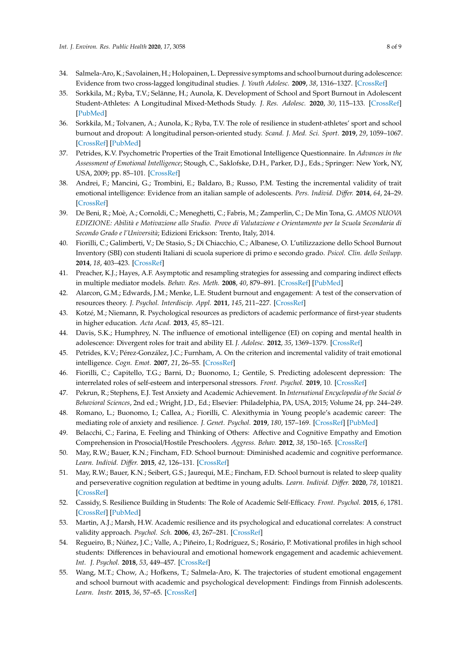- <span id="page-7-0"></span>34. Salmela-Aro, K.; Savolainen, H.; Holopainen, L. Depressive symptoms and school burnout during adolescence: Evidence from two cross-lagged longitudinal studies. *J. Youth Adolesc.* **2009**, *38*, 1316–1327. [\[CrossRef\]](http://dx.doi.org/10.1007/s10964-008-9334-3)
- <span id="page-7-1"></span>35. Sorkkila, M.; Ryba, T.V.; Selänne, H.; Aunola, K. Development of School and Sport Burnout in Adolescent Student-Athletes: A Longitudinal Mixed-Methods Study. *J. Res. Adolesc.* **2020**, *30*, 115–133. [\[CrossRef\]](http://dx.doi.org/10.1111/jora.12453) [\[PubMed\]](http://www.ncbi.nlm.nih.gov/pubmed/30207416)
- <span id="page-7-2"></span>36. Sorkkila, M.; Tolvanen, A.; Aunola, K.; Ryba, T.V. The role of resilience in student-athletes' sport and school burnout and dropout: A longitudinal person-oriented study. *Scand. J. Med. Sci. Sport.* **2019**, *29*, 1059–1067. [\[CrossRef\]](http://dx.doi.org/10.1111/sms.13422) [\[PubMed\]](http://www.ncbi.nlm.nih.gov/pubmed/30907455)
- <span id="page-7-3"></span>37. Petrides, K.V. Psychometric Properties of the Trait Emotional Intelligence Questionnaire. In *Advances in the Assessment of Emotional Intelligence*; Stough, C., Saklofske, D.H., Parker, D.J., Eds.; Springer: New York, NY, USA, 2009; pp. 85–101. [\[CrossRef\]](http://dx.doi.org/10.1007/978-0-387-88370-0_5)
- <span id="page-7-4"></span>38. Andrei, F.; Mancini, G.; Trombini, E.; Baldaro, B.; Russo, P.M. Testing the incremental validity of trait emotional intelligence: Evidence from an italian sample of adolescents. *Pers. Individ. Di*ff*er.* **2014**, *64*, 24–29. [\[CrossRef\]](http://dx.doi.org/10.1016/j.paid.2014.02.007)
- <span id="page-7-5"></span>39. De Beni, R.; Moè, A.; Cornoldi, C.; Meneghetti, C.; Fabris, M.; Zamperlin, C.; De Min Tona, G. *AMOS NUOVA EDIZIONE: Abilità e Motivazione allo Studio. Prove di Valutazione e Orientamento per la Scuola Secondaria di Secondo Grado e l'Università*; Edizioni Erickson: Trento, Italy, 2014.
- <span id="page-7-6"></span>40. Fiorilli, C.; Galimberti, V.; De Stasio, S.; Di Chiacchio, C.; Albanese, O. L'utilizzazione dello School Burnout Inventory (SBI) con studenti Italiani di scuola superiore di primo e secondo grado. *Psicol. Clin. dello Svilupp.* **2014**, *18*, 403–423. [\[CrossRef\]](http://dx.doi.org/10.1449/78365)
- <span id="page-7-7"></span>41. Preacher, K.J.; Hayes, A.F. Asymptotic and resampling strategies for assessing and comparing indirect effects in multiple mediator models. *Behav. Res. Meth.* **2008**, *40*, 879–891. [\[CrossRef\]](http://dx.doi.org/10.3758/BRM.40.3.879) [\[PubMed\]](http://www.ncbi.nlm.nih.gov/pubmed/18697684)
- <span id="page-7-8"></span>42. Alarcon, G.M.; Edwards, J.M.; Menke, L.E. Student burnout and engagement: A test of the conservation of resources theory. *J. Psychol. Interdiscip. Appl.* **2011**, *145*, 211–227. [\[CrossRef\]](http://dx.doi.org/10.1080/00223980.2011.555432)
- <span id="page-7-9"></span>43. Kotzé, M.; Niemann, R. Psychological resources as predictors of academic performance of first-year students in higher education. *Acta Acad.* **2013**, *45*, 85–121.
- <span id="page-7-10"></span>44. Davis, S.K.; Humphrey, N. The influence of emotional intelligence (EI) on coping and mental health in adolescence: Divergent roles for trait and ability EI. *J. Adolesc.* **2012**, *35*, 1369–1379. [\[CrossRef\]](http://dx.doi.org/10.1016/j.adolescence.2012.05.007)
- <span id="page-7-11"></span>45. Petrides, K.V.; Pérez-González, J.C.; Furnham, A. On the criterion and incremental validity of trait emotional intelligence. *Cogn. Emot.* **2007**, *21*, 26–55. [\[CrossRef\]](http://dx.doi.org/10.1080/02699930601038912)
- <span id="page-7-12"></span>46. Fiorilli, C.; Capitello, T.G.; Barni, D.; Buonomo, I.; Gentile, S. Predicting adolescent depression: The interrelated roles of self-esteem and interpersonal stressors. *Front. Psychol.* **2019**, 10. [\[CrossRef\]](http://dx.doi.org/10.3389/fpsyg.2019.00565)
- <span id="page-7-13"></span>47. Pekrun, R.; Stephens, E.J. Test Anxiety and Academic Achievement. In *International Encyclopedia of the Social & Behavioral Sciences*, 2nd ed.; Wright, J.D., Ed.; Elsevier: Philadelphia, PA, USA, 2015; Volume 24, pp. 244–249.
- <span id="page-7-14"></span>48. Romano, L.; Buonomo, I.; Callea, A.; Fiorilli, C. Alexithymia in Young people's academic career: The mediating role of anxiety and resilience. *J. Genet. Psychol.* **2019**, *180*, 157–169. [\[CrossRef\]](http://dx.doi.org/10.1080/00221325.2019.1620675) [\[PubMed\]](http://www.ncbi.nlm.nih.gov/pubmed/31165680)
- 49. Belacchi, C.; Farina, E. Feeling and Thinking of Others: Affective and Cognitive Empathy and Emotion Comprehension in Prosocial/Hostile Preschoolers. *Aggress. Behav.* **2012**, *38*, 150–165. [\[CrossRef\]](http://dx.doi.org/10.1002/ab.21415)
- 50. May, R.W.; Bauer, K.N.; Fincham, F.D. School burnout: Diminished academic and cognitive performance. *Learn. Individ. Di*ff*er.* **2015**, *42*, 126–131. [\[CrossRef\]](http://dx.doi.org/10.1016/j.lindif.2015.07.015)
- <span id="page-7-15"></span>51. May, R.W.; Bauer, K.N.; Seibert, G.S.; Jaurequi, M.E.; Fincham, F.D. School burnout is related to sleep quality and perseverative cognition regulation at bedtime in young adults. *Learn. Individ. Di*ff*er.* **2020**, *78*, 101821. [\[CrossRef\]](http://dx.doi.org/10.1016/j.lindif.2020.101821)
- <span id="page-7-16"></span>52. Cassidy, S. Resilience Building in Students: The Role of Academic Self-Efficacy. *Front. Psychol.* **2015**, *6*, 1781. [\[CrossRef\]](http://dx.doi.org/10.3389/fpsyg.2015.01781) [\[PubMed\]](http://www.ncbi.nlm.nih.gov/pubmed/26640447)
- 53. Martin, A.J.; Marsh, H.W. Academic resilience and its psychological and educational correlates: A construct validity approach. *Psychol. Sch.* **2006**, *43*, 267–281. [\[CrossRef\]](http://dx.doi.org/10.1002/pits.20149)
- 54. Regueiro, B.; Núñez, J.C.; Valle, A.; Piñeiro, I.; Rodríguez, S.; Rosário, P. Motivational profiles in high school students: Differences in behavioural and emotional homework engagement and academic achievement. *Int. J. Psychol.* **2018**, *53*, 449–457. [\[CrossRef\]](http://dx.doi.org/10.1002/ijop.12399)
- <span id="page-7-17"></span>55. Wang, M.T.; Chow, A.; Hofkens, T.; Salmela-Aro, K. The trajectories of student emotional engagement and school burnout with academic and psychological development: Findings from Finnish adolescents. *Learn. Instr.* **2015**, *36*, 57–65. [\[CrossRef\]](http://dx.doi.org/10.1016/j.learninstruc.2014.11.004)